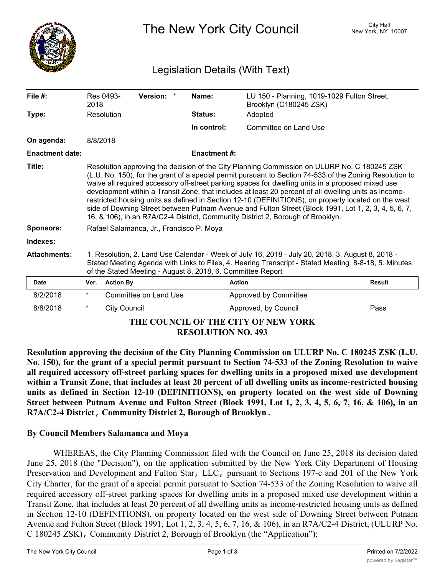

The New York City Council New York, NY 10007

## Legislation Details (With Text)

| File $#$ :                                                       | 2018                                                                                                                                                                                                                                                                    | Res 0493-                                                                                                                                                                                                                                                                                                                                                                                                                                                                                                                                                                                                                                                                                                               | Version: *            | Name:               | LU 150 - Planning, 1019-1029 Fulton Street,<br>Brooklyn (C180245 ZSK) |               |  |
|------------------------------------------------------------------|-------------------------------------------------------------------------------------------------------------------------------------------------------------------------------------------------------------------------------------------------------------------------|-------------------------------------------------------------------------------------------------------------------------------------------------------------------------------------------------------------------------------------------------------------------------------------------------------------------------------------------------------------------------------------------------------------------------------------------------------------------------------------------------------------------------------------------------------------------------------------------------------------------------------------------------------------------------------------------------------------------------|-----------------------|---------------------|-----------------------------------------------------------------------|---------------|--|
| Type:                                                            |                                                                                                                                                                                                                                                                         | Resolution                                                                                                                                                                                                                                                                                                                                                                                                                                                                                                                                                                                                                                                                                                              |                       | <b>Status:</b>      | Adopted                                                               |               |  |
|                                                                  |                                                                                                                                                                                                                                                                         |                                                                                                                                                                                                                                                                                                                                                                                                                                                                                                                                                                                                                                                                                                                         |                       | In control:         | <b>Committee on Land Use</b>                                          |               |  |
| On agenda:                                                       | 8/8/2018                                                                                                                                                                                                                                                                |                                                                                                                                                                                                                                                                                                                                                                                                                                                                                                                                                                                                                                                                                                                         |                       |                     |                                                                       |               |  |
| <b>Enactment date:</b>                                           |                                                                                                                                                                                                                                                                         |                                                                                                                                                                                                                                                                                                                                                                                                                                                                                                                                                                                                                                                                                                                         |                       | <b>Enactment #:</b> |                                                                       |               |  |
| Title:                                                           |                                                                                                                                                                                                                                                                         | Resolution approving the decision of the City Planning Commission on ULURP No. C 180245 ZSK<br>(L.U. No. 150), for the grant of a special permit pursuant to Section 74-533 of the Zoning Resolution to<br>waive all required accessory off-street parking spaces for dwelling units in a proposed mixed use<br>development within a Transit Zone, that includes at least 20 percent of all dwelling units as income-<br>restricted housing units as defined in Section 12-10 (DEFINITIONS), on property located on the west<br>side of Downing Street between Putnam Avenue and Fulton Street (Block 1991, Lot 1, 2, 3, 4, 5, 6, 7,<br>16, & 106), in an R7A/C2-4 District, Community District 2, Borough of Brooklyn. |                       |                     |                                                                       |               |  |
| <b>Sponsors:</b>                                                 |                                                                                                                                                                                                                                                                         | Rafael Salamanca, Jr., Francisco P. Moya                                                                                                                                                                                                                                                                                                                                                                                                                                                                                                                                                                                                                                                                                |                       |                     |                                                                       |               |  |
| Indexes:                                                         |                                                                                                                                                                                                                                                                         |                                                                                                                                                                                                                                                                                                                                                                                                                                                                                                                                                                                                                                                                                                                         |                       |                     |                                                                       |               |  |
| <b>Attachments:</b>                                              | 1. Resolution, 2. Land Use Calendar - Week of July 16, 2018 - July 20, 2018, 3. August 8, 2018 -<br>Stated Meeting Agenda with Links to Files, 4. Hearing Transcript - Stated Meeting 8-8-18, 5. Minutes<br>of the Stated Meeting - August 8, 2018, 6. Committee Report |                                                                                                                                                                                                                                                                                                                                                                                                                                                                                                                                                                                                                                                                                                                         |                       |                     |                                                                       |               |  |
| <b>Date</b>                                                      | Ver.                                                                                                                                                                                                                                                                    | <b>Action By</b>                                                                                                                                                                                                                                                                                                                                                                                                                                                                                                                                                                                                                                                                                                        |                       |                     | <b>Action</b>                                                         | <b>Result</b> |  |
| 8/2/2018                                                         | $^\star$                                                                                                                                                                                                                                                                |                                                                                                                                                                                                                                                                                                                                                                                                                                                                                                                                                                                                                                                                                                                         | Committee on Land Use |                     | Approved by Committee                                                 |               |  |
| 8/8/2018                                                         | $^\star$                                                                                                                                                                                                                                                                | <b>City Council</b>                                                                                                                                                                                                                                                                                                                                                                                                                                                                                                                                                                                                                                                                                                     |                       |                     | Approved, by Council                                                  | Pass          |  |
| THE COUNCIL OF THE CITY OF NEW YORK<br><b>RESOLUTION NO. 493</b> |                                                                                                                                                                                                                                                                         |                                                                                                                                                                                                                                                                                                                                                                                                                                                                                                                                                                                                                                                                                                                         |                       |                     |                                                                       |               |  |

**Resolution approving the decision of the City Planning Commission on ULURP No. C 180245 ZSK (L.U.** No. 150), for the grant of a special permit pursuant to Section 74-533 of the Zoning Resolution to waive **all required accessory off-street parking spaces for dwelling units in a proposed mixed use development** within a Transit Zone, that includes at least 20 percent of all dwelling units as income-restricted housing **units as defined in Section 12-10 (DEFINITIONS), on property located on the west side of Downing** Street between Putnam Avenue and Fulton Street (Block 1991, Lot 1, 2, 3, 4, 5, 6, 7, 16, & 106), in an **R7A/C2-4 District, Community District 2, Borough of Brooklyn.**

## **By Council Members Salamanca and Moya**

WHEREAS, the City Planning Commission filed with the Council on June 25, 2018 its decision dated June 25, 2018 (the "Decision"), on the application submitted by the New York City Department of Housing Preservation and Development and Fulton Star, LLC, pursuant to Sections 197-c and 201 of the New York City Charter, for the grant of a special permit pursuant to Section 74-533 of the Zoning Resolution to waive all required accessory off-street parking spaces for dwelling units in a proposed mixed use development within a Transit Zone, that includes at least 20 percent of all dwelling units as income-restricted housing units as defined in Section 12-10 (DEFINITIONS), on property located on the west side of Downing Street between Putnam Avenue and Fulton Street (Block 1991, Lot 1, 2, 3, 4, 5, 6, 7, 16, & 106), in an R7A/C2-4 District, (ULURP No. C 180245 ZSK), Community District 2, Borough of Brooklyn (the "Application");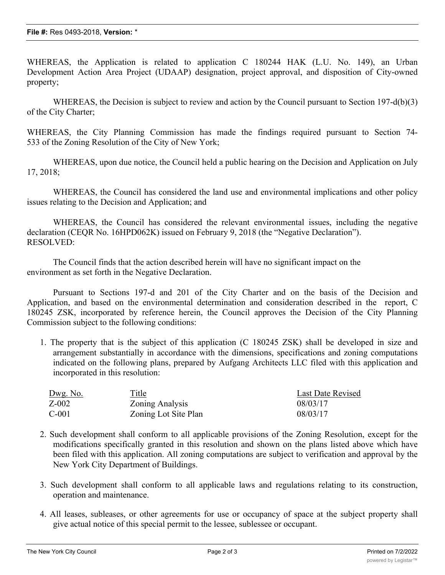WHEREAS, the Application is related to application C 180244 HAK (L.U. No. 149), an Urban Development Action Area Project (UDAAP) designation, project approval, and disposition of City-owned property;

WHEREAS, the Decision is subject to review and action by the Council pursuant to Section 197-d(b)(3) of the City Charter;

WHEREAS, the City Planning Commission has made the findings required pursuant to Section 74- 533 of the Zoning Resolution of the City of New York;

WHEREAS, upon due notice, the Council held a public hearing on the Decision and Application on July 17, 2018;

WHEREAS, the Council has considered the land use and environmental implications and other policy issues relating to the Decision and Application; and

WHEREAS, the Council has considered the relevant environmental issues, including the negative declaration (CEQR No. 16HPD062K) issued on February 9, 2018 (the "Negative Declaration"). RESOLVED:

The Council finds that the action described herein will have no significant impact on the environment as set forth in the Negative Declaration.

Pursuant to Sections 197-d and 201 of the City Charter and on the basis of the Decision and Application, and based on the environmental determination and consideration described in the report, C 180245 ZSK, incorporated by reference herein, the Council approves the Decision of the City Planning Commission subject to the following conditions:

1. The property that is the subject of this application (C 180245 ZSK) shall be developed in size and arrangement substantially in accordance with the dimensions, specifications and zoning computations indicated on the following plans, prepared by Aufgang Architects LLC filed with this application and incorporated in this resolution:

| <u>Dwg. No.</u> | <u>Title</u>         | Last Date Revised |
|-----------------|----------------------|-------------------|
| $Z-002$         | Zoning Analysis      | 08/03/17          |
| $C-001$         | Zoning Lot Site Plan | 08/03/17          |

- 2. Such development shall conform to all applicable provisions of the Zoning Resolution, except for the modifications specifically granted in this resolution and shown on the plans listed above which have been filed with this application. All zoning computations are subject to verification and approval by the New York City Department of Buildings.
- 3. Such development shall conform to all applicable laws and regulations relating to its construction, operation and maintenance.
- 4. All leases, subleases, or other agreements for use or occupancy of space at the subject property shall give actual notice of this special permit to the lessee, sublessee or occupant.

 $\mathcal{L}_{\mathcal{A}}$  , title of any party having any right, title or interest in the property that is the subject of this this this this this this this title or interest in the subject of this title or interest of this title or